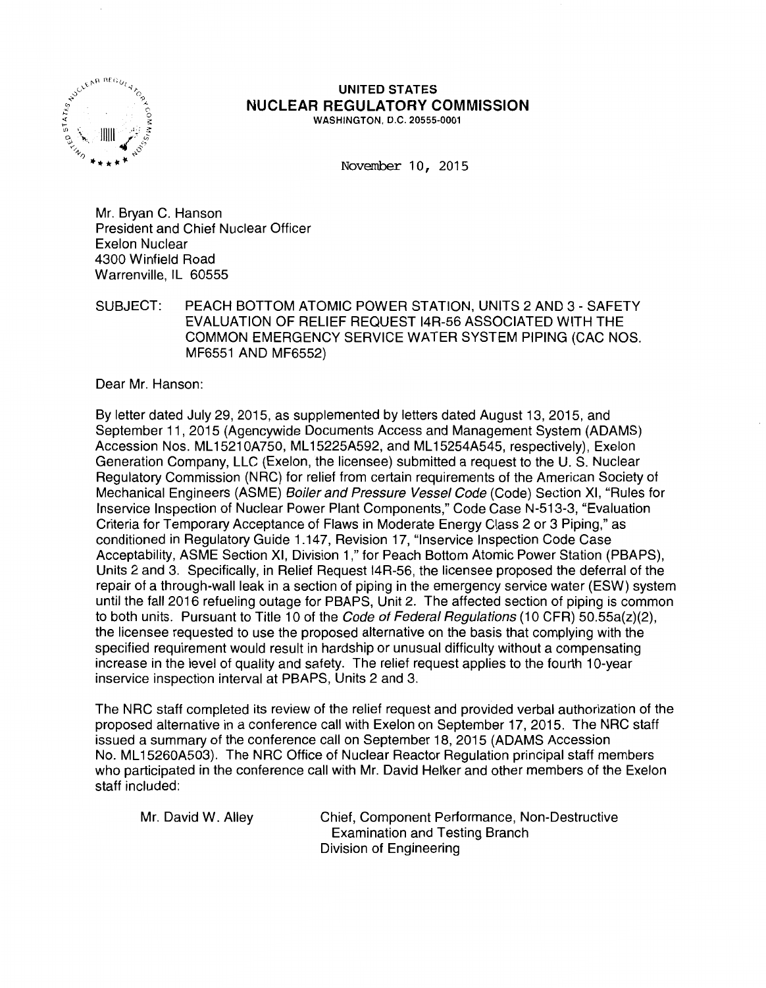

#### UNITED STATES NUCLEAR REGULATORY COMMISSION WASHINGTON, D.C. 20555-0001

November 10, 2015

Mr. Bryan C. Hanson President and Chief Nuclear Officer Exelon Nuclear 4300 Winfield Road Warrenville, IL 60555

SUBJECT: PEACH BOTTOM ATOMIC POWER STATION, UNITS 2 AND 3 - SAFETY EVALUATION OF RELIEF REQUEST 14R-56 ASSOCIATED WITH THE COMMON EMERGENCY SERVICE WATER SYSTEM PIPING (CAC NOS. MF6551 AND MF6552)

Dear Mr. Hanson:

By letter dated July 29, 2015, as supplemented by letters dated August 13, 2015, and September 11 , 2015 (Agencywide Documents Access and Management System (ADAMS) Accession Nos. ML 1521 OA750, ML 15225A592, and ML 15254A545, respectively), Exelon Generation Company, LLC (Exelon, the licensee) submitted a request to the U.S. Nuclear Regulatory Commission (NRC) for relief from certain requirements of the American Society of Mechanical Engineers (ASME) *Boiler and Pressure Vessel Code* (Code) Section XI, "Rules for lnservice Inspection of Nuclear Power Plant Components," Code Case N-513-3, "Evaluation Criteria for Temporary Acceptance of Flaws in Moderate Energy Class 2 or 3 Piping," as conditioned in Regulatory Guide 1.147, Revision 17, "lnservice Inspection Code Case Acceptability, ASME Section XI, Division 1," for Peach Bottom Atomic Power Station (PBAPS), Units 2 and 3. Specifically, in Relief Request 14R-56, the licensee proposed the deferral of the repair of a through-wall leak in a section of piping in the emergency service water (ESW) system until the fall 2016 refueling outage for PBAPS, Unit 2. The affected section of piping is common to both units. Pursuant to Title 10 of the Code of Federal Regulations (10 CFR)  $50.55a(z)(2)$ , the licensee requested to use the proposed alternative on the basis that complying with the specified requirement would result in hardship or unusual difficulty without a compensating increase in the level of quality and safety. The relief request applies to the fourth 10-year inservice inspection interval at PBAPS, Units 2 and 3.

The NRC staff completed its review of the relief request and provided verbal authorization of the proposed alternative in a conference call with Exelon on September 17, 2015. The NRC staff issued a summary of the conference call on September 18, 2015 (ADAMS Accession No. ML15260A503). The NRC Office of Nuclear Reactor Regulation principal staff members who participated in the conference call with Mr. David Helker and other members of the Exelon staff included:

Mr. David W. Alley Chief, Component Performance, Non-Destructive Examination and Testing Branch Division of Engineering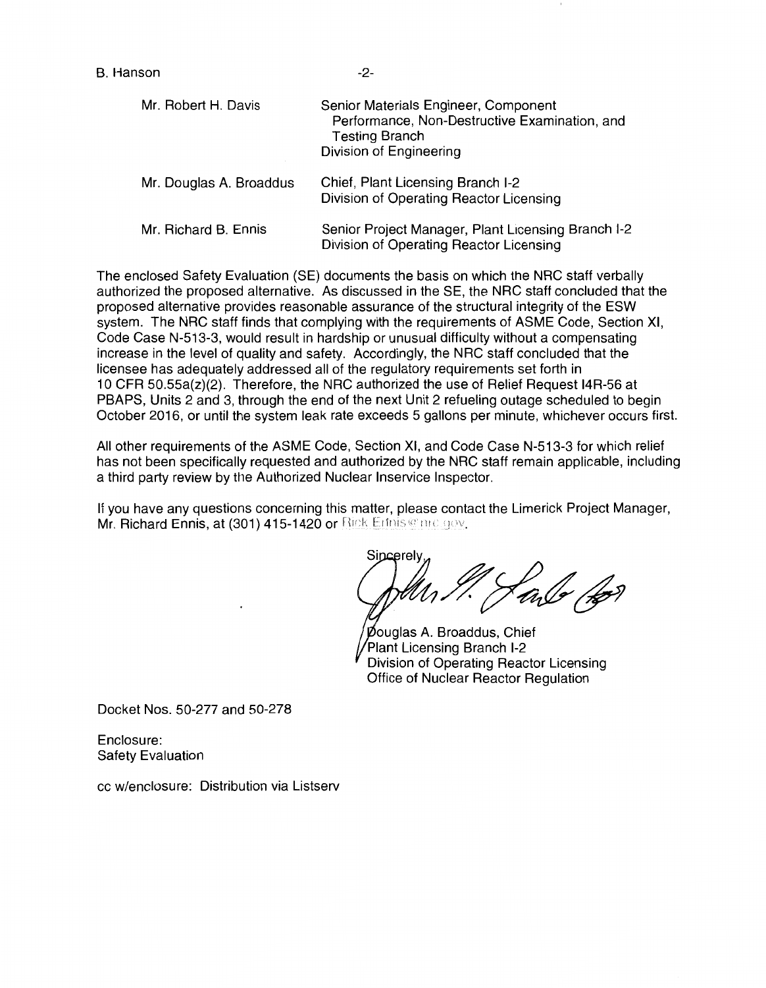| Mr. Robert H. Davis     | Senior Materials Engineer, Component<br>Performance, Non-Destructive Examination, and<br><b>Testing Branch</b><br>Division of Engineering |
|-------------------------|-------------------------------------------------------------------------------------------------------------------------------------------|
| Mr. Douglas A. Broaddus | Chief, Plant Licensing Branch I-2<br>Division of Operating Reactor Licensing                                                              |
| Mr. Richard B. Ennis    | Senior Project Manager, Plant Licensing Branch I-2<br>Division of Operating Reactor Licensing                                             |

The enclosed Safety Evaluation (SE) documents the basis on which the NRC staff verbally authorized the proposed alternative. As discussed in the SE, the NRC staff concluded that the proposed alternative provides reasonable assurance of the structural integrity of the ESW system. The NRC staff finds that complying with the requirements of ASME Code, Section XI, Code Case N-513-3, would result in hardship or unusual difficulty without a compensating increase in the level of quality and safety. Accordingly, the NRC staff concluded that the licensee has adequately addressed all of the regulatory requirements set forth in 1 O CFR 50.55a(z)(2). Therefore, the NRC authorized the use of Relief Request 14R-56 at PBAPS, Units 2 and 3, through the end of the next Unit 2 refueling outage scheduled to begin October 2016, or until the system leak rate exceeds 5 gallons per minute, whichever occurs first.

All other requirements of the ASME Code, Section XI, and Code Case N-513-3 for which relief has not been specifically requested and authorized by the NRC staff remain applicable, including a third party review by the Authorized Nuclear lnservice Inspector.

If you have any questions concerning this matter, please contact the Limerick Project Manager, Mr. Richard Ennis, at (301) 415-1420 or Rick Entris @mc.gov.

sincerely,<br>July 1. Jane 12

Douglas A. Broaddus, Chief Plant Licensing Branch 1-2 Division of Operating Reactor Licensing Office of Nuclear Reactor Regulation

Docket Nos. 50-277 and 50-278

Enclosure: Safety Evaluation

cc w/enclosure: Distribution via Listserv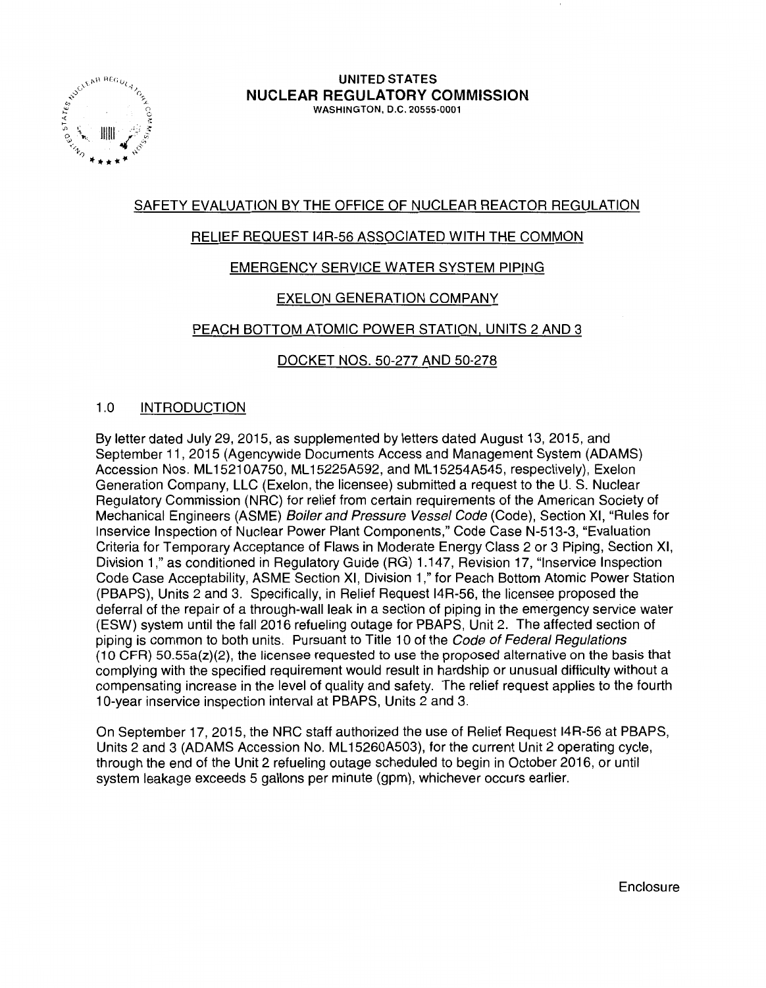

# SAFETY EVALUATION BY THE OFFICE OF NUCLEAR REACTOR REGULATION

### RELIEF REQUEST 14R-56 ASSOCIATED WITH THE COMMON

# EMERGENCY SERVICE WATER SYSTEM PIPING

# EXELON GENERATION COMPANY

# PEACH BOTTOM ATOMIC POWER STATION, UNITS 2 AND 3

### DOCKET NOS. 50-277 AND 50-278

### 1.0 INTRODUCTION

By letter dated July 29, 2015, as supplemented by letters dated August 13, 2015, and September 11, 2015 (Agencywide Documents Access and Management System (ADAMS) Accession Nos. ML 1521 OA750, ML 15225A592, and ML 15254A545, respectively), Exelon Generation Company, LLC (Exelon, the licensee) submitted a request to the U.S. Nuclear Regulatory Commission (NRC) for relief from certain requirements of the American Society of Mechanical Engineers (ASME) Boiler and Pressure Vessel Code (Code), Section XI, "Rules for lnservice Inspection of Nuclear Power Plant Components," Code Case N-513-3, "Evaluation Criteria for Temporary Acceptance of Flaws in Moderate Energy Class 2 or 3 Piping, Section XI, Division 1," as conditioned in Regulatory Guide (RG) 1.147, Revision 17, "lnservice Inspection Code Case Acceptability, ASME Section XI, Division 1," for Peach Bottom Atomic Power Station (PBAPS), Units 2 and 3. Specifically, in Relief Request I4R-56, the licensee proposed the deferral of the repair of a through-wall leak in a section of piping in the emergency service water (ESW) system until the fall 2016 refueling outage for PBAPS, Unit 2. The affected section of piping is common to both units. Pursuant to Title 10 of the Code of Federal Regulations  $(10 CFR)$  50.55a(z)(2), the licensee requested to use the proposed alternative on the basis that complying with the specified requirement would result in hardship or unusual difficulty without a compensating increase in the level of quality and safety. The relief request applies to the fourth 10-year inservice inspection interval at PBAPS, Units 2 and 3.

On September 17, 2015, the NRC staff authorized the use of Relief Request 14R-56 at PBAPS, Units 2 and 3 (ADAMS Accession No. ML 15260A503), for the current Unit 2 operating cycle, through the end of the Unit 2 refueling outage scheduled to begin in October 2016, or until system leakage exceeds 5 gallons per minute (gpm), whichever occurs earlier.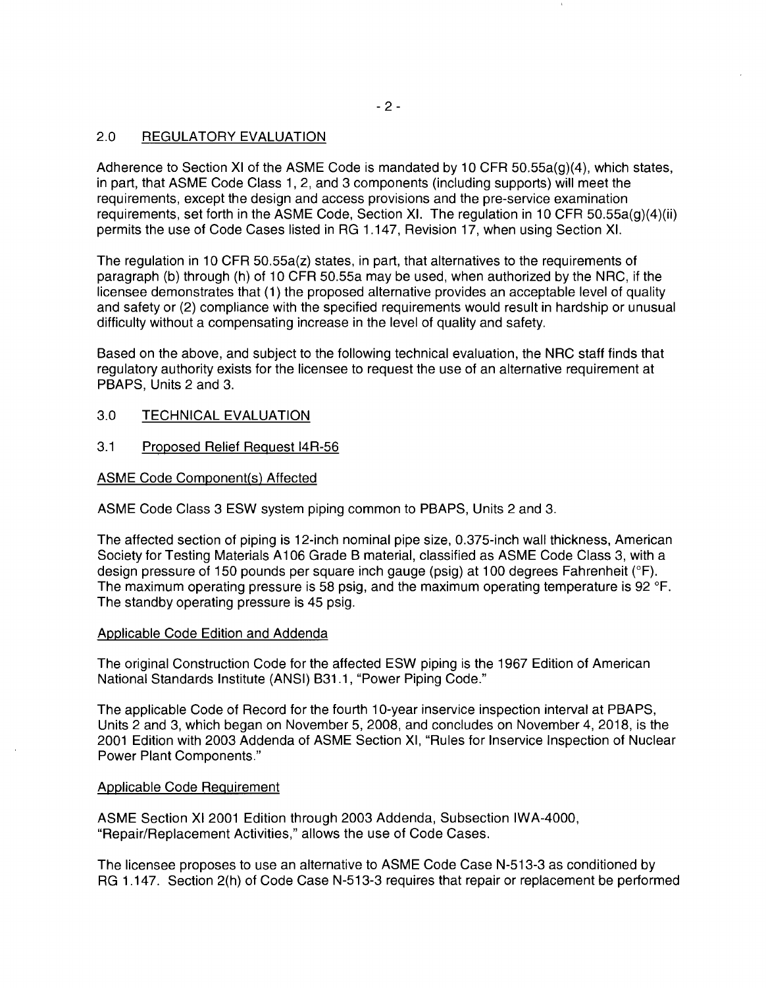### 2.0 REGULATORY EVALUATION

Adherence to Section XI of the ASME Code is mandated by 10 CFR 50.55a(g)(4), which states, in part, that ASME Code Class 1, 2, and 3 components (including supports) will meet the requirements, except the design and access provisions and the pre-service examination requirements, set forth in the ASME Code, Section XI. The regulation in 10 CFR 50.55a(g)(4)(ii) permits the use of Code Cases listed in RG 1.147, Revision 17, when using Section XI.

The regulation in 10 CFR 50.55a(z) states, in part, that alternatives to the requirements of paragraph (b) through (h) of 10 CFR 50.55a may be used, when authorized by the NRC, if the licensee demonstrates that (1) the proposed alternative provides an acceptable level of quality and safety or (2) compliance with the specified requirements would result in hardship or unusual difficulty without a compensating increase in the level of quality and safety.

Based on the above, and subject to the following technical evaluation, the NRG staff finds that regulatory authority exists for the licensee to request the use of an alternative requirement at PBAPS, Units 2 and 3.

- 3.0 TECHNICAL EVALUATION
- 3.1 Proposed Relief Request 14R-56

ASME Code Component(s) Affected

ASME Code Class 3 ESW system piping common to PBAPS, Units 2 and 3.

The affected section of piping is 12-inch nominal pipe size, 0.375-inch wall thickness, American Society for Testing Materials A 106 Grade B material, classified as ASME Code Class 3, with a design pressure of 150 pounds per square inch gauge (psig) at 100 degrees Fahrenheit (°F). The maximum operating pressure is 58 psig, and the maximum operating temperature is 92 °F. The standby operating pressure is 45 psig.

### Applicable Code Edition and Addenda

The original Construction Code for the affected ESW piping is the 1967 Edition of American National Standards Institute (ANSI) 831.1, "Power Piping Code."

The applicable Code of Record for the fourth 10-year inservice inspection interval at PBAPS, Units 2 and 3, which began on November 5, 2008, and concludes on November 4, 2018, is the 2001 Edition with 2003 Addenda of ASME Section XI, "Rules for lnservice Inspection of Nuclear Power Plant Components."

### Applicable Code Requirement

ASME Section XI 2001 Edition through 2003 Addenda, Subsection IWA-4000, "Repair/Replacement Activities," allows the use of Code Cases.

The licensee proposes to use an alternative to ASME Code Case N-513-3 as conditioned by RG 1.147. Section 2(h) of Code Case N-513-3 requires that repair or replacement be performed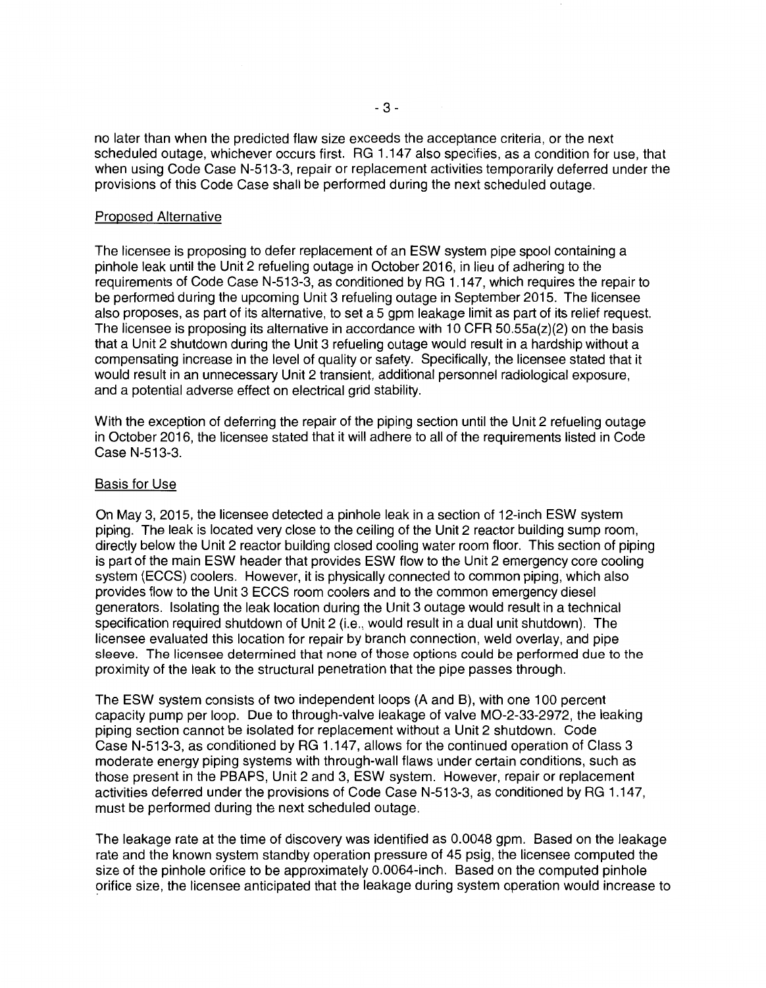no later than when the predicted flaw size exceeds the acceptance criteria, or the next scheduled outage, whichever occurs first. RG 1.147 also specifies, as a condition for use, that when using Code Case N-513-3, repair or replacement activities temporarily deferred under the provisions of this Code Case shall be performed during the next scheduled outage.

#### Proposed Alternative

The licensee is proposing to defer replacement of an ESW system pipe spool containing a pinhole leak until the Unit 2 refueling outage in October 2016, in lieu of adhering to the requirements of Code Case N-513-3, as conditioned by RG 1.147, which requires the repair to be performed during the upcoming Unit 3 refueling outage in September 2015. The licensee also proposes, as part of its alternative, to set a 5 gpm leakage limit as part of its relief request. The licensee is proposing its alternative in accordance with 10 CFR  $50.55a(z)(2)$  on the basis that a Unit 2 shutdown during the Unit 3 refueling outage would result in a hardship without a compensating increase in the level of quality or safety. Specifically, the licensee stated that it would result in an unnecessary Unit 2 transient, additional personnel radiological exposure, and a potential adverse effect on electrical grid stability.

With the exception of deferring the repair of the piping section until the Unit 2 refueling outage in October 2016, the licensee stated that it will adhere to all of the requirements listed in Code Case N-513-3.

#### Basis for Use

On May 3, 2015, the licensee detected a pinhole leak in a section of 12-inch ESW system piping. The leak is located very close to the ceiling of the Unit 2 reactor building sump room, directly below the Unit 2 reactor building closed cooling water room floor. This section of piping is part of the main ESW header that provides ESW flow to the Unit 2 emergency core cooling system (ECCS) coolers. However, it is physically connected to common piping, which also provides flow to the Unit 3 ECCS room coolers and to the common emergency diesel generators. Isolating the leak location during the Unit 3 outage would result in a technical specification required shutdown of Unit 2 (i.e., would result in a dual unit shutdown). The licensee evaluated this location for repair by branch connection, weld overlay, and pipe sleeve. The licensee determined that none of those options could be performed due to the proximity of the leak to the structural penetration that the pipe passes through.

The ESW system consists of two independent loops (A and B), with one 100 percent capacity pump per loop. Due to through-valve leakage of valve M0-2-33-2972, the leaking piping section cannot be isolated for replacement without a Unit 2 shutdown. Code Case N-513-3, as conditioned by RG 1.147, allows for the continued operation of Class 3 moderate energy piping systems with through-wall flaws under certain conditions, such as those present in the PBAPS, Unit 2 and 3, ESW system. However, repair or replacement activities deferred under the provisions of Code Case N-513-3, as conditioned by RG 1.147, must be performed during the next scheduled outage.

The leakage rate at the time of discovery was identified as 0.0048 gpm. Based on the leakage rate and the known system standby operation pressure of 45 psig, the licensee computed the size of the pinhole orifice to be approximately 0.0064-inch. Based on the computed pinhole orifice size, the licensee anticipated that the leakage during system operation would increase to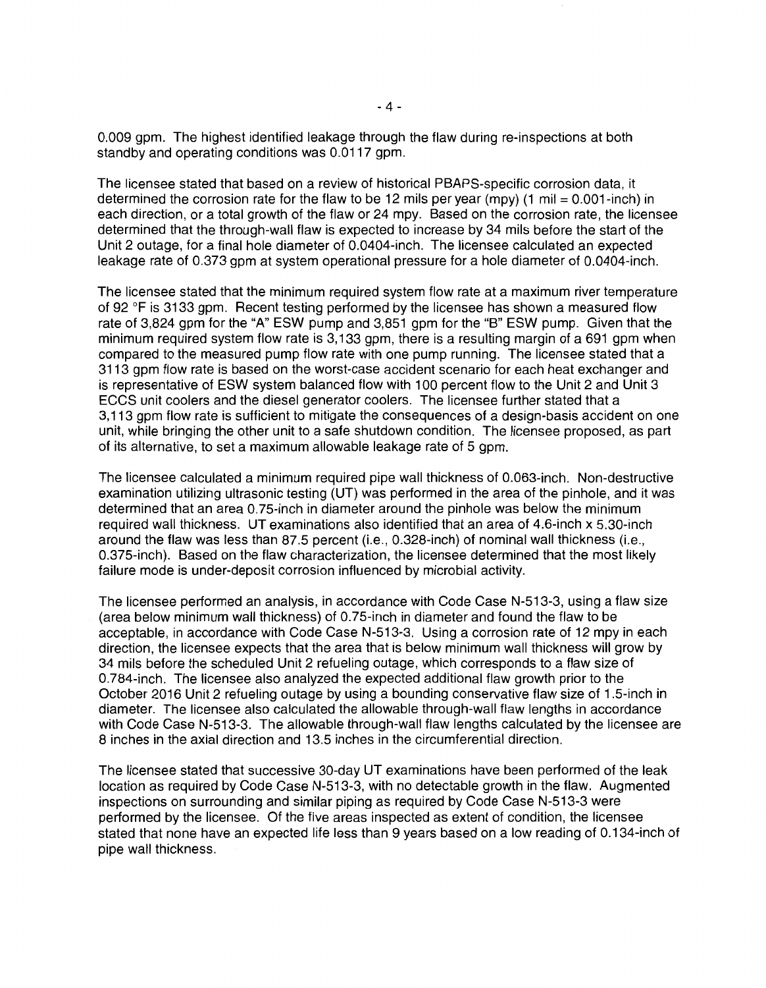0.009 gpm. The highest identified leakage through the flaw during re-inspections at both standby and operating conditions was 0.0117 gpm.

The licensee stated that based on a review of historical PBAPS-specific corrosion data, it determined the corrosion rate for the flaw to be 12 mils per year (mpy) (1 mil = 0.001-inch) in each direction, or a total growth of the flaw or 24 mpy. Based on the corrosion rate, the licensee determined that the through-wall flaw is expected to increase by 34 mils before the start of the Unit 2 outage, for a final hole diameter of 0.0404-inch. The licensee calculated an expected leakage rate of 0.373 gpm at system operational pressure for a hole diameter of 0.0404-inch.

The licensee stated that the minimum required system flow rate at a maximum river temperature of 92 °F is 3133 gpm. Recent testing performed by the licensee has shown a measured flow rate of 3,824 gpm for the "A" ESW pump and 3,851 gpm for the "B" ESW pump. Given that the minimum required system flow rate is 3, 133 gpm, there is a resulting margin of a 691 gpm when compared to the measured pump flow rate with one pump running. The licensee stated that a 3113 gpm flow rate is based on the worst-case accident scenario for each heat exchanger and is representative of ESW system balanced flow with 100 percent flow to the Unit 2 and Unit 3 ECCS unit coolers and the diesel generator coolers. The licensee further stated that a 3, 113 gpm flow rate is sufficient to mitigate the consequences of a design-basis accident on one unit, while bringing the other unit to a safe shutdown condition. The licensee proposed, as part of its alternative, to set a maximum allowable leakage rate of 5 gpm.

The licensee calculated a minimum required pipe wall thickness of 0.063-inch. Non-destructive examination utilizing ultrasonic testing (UT) was performed in the area of the pinhole, and it was determined that an area 0.75-inch in diameter around the pinhole was below the minimum required wall thickness. UT examinations also identified that an area of 4.6-inch x 5.30-inch around the flaw was less than 87.5 percent (i.e., 0.328-inch) of nominal wall thickness (i.e., 0.375-inch). Based on the flaw characterization, the licensee determined that the most likely failure mode is under-deposit corrosion influenced by microbial activity.

The licensee performed an analysis, in accordance with Code Case N-513-3, using a flaw size (area below minimum wall thickness) of 0.75-inch in diameter and found the flaw to be acceptable, in accordance with Code Case N-513-3. Using a corrosion rate of 12 mpy in each direction, the licensee expects that the area that is below minimum wall thickness will grow by 34 mils before the scheduled Unit 2 refueling outage, which corresponds to a flaw size of 0.784-inch. The licensee also analyzed the expected additional flaw growth prior to the October 2016 Unit 2 refueling outage by using a bounding conservative flaw size of 1 .5-inch in diameter. The licensee also calculated the allowable through-wall flaw lengths in accordance with Code Case N-513-3. The allowable through-wall flaw lengths calculated by the licensee are 8 inches in the axial direction and 13.5 inches in the circumferential direction.

The licensee stated that successive 30-day UT examinations have been performed of the leak location as required by Code Case N-513-3, with no detectable growth in the flaw. Augmented inspections on surrounding and similar piping as required by Code Case N-513-3 were performed by the licensee. Of the five areas inspected as extent of condition, the licensee stated that none have an expected life less than 9 years based on a low reading of 0.134-inch of pipe wall thickness.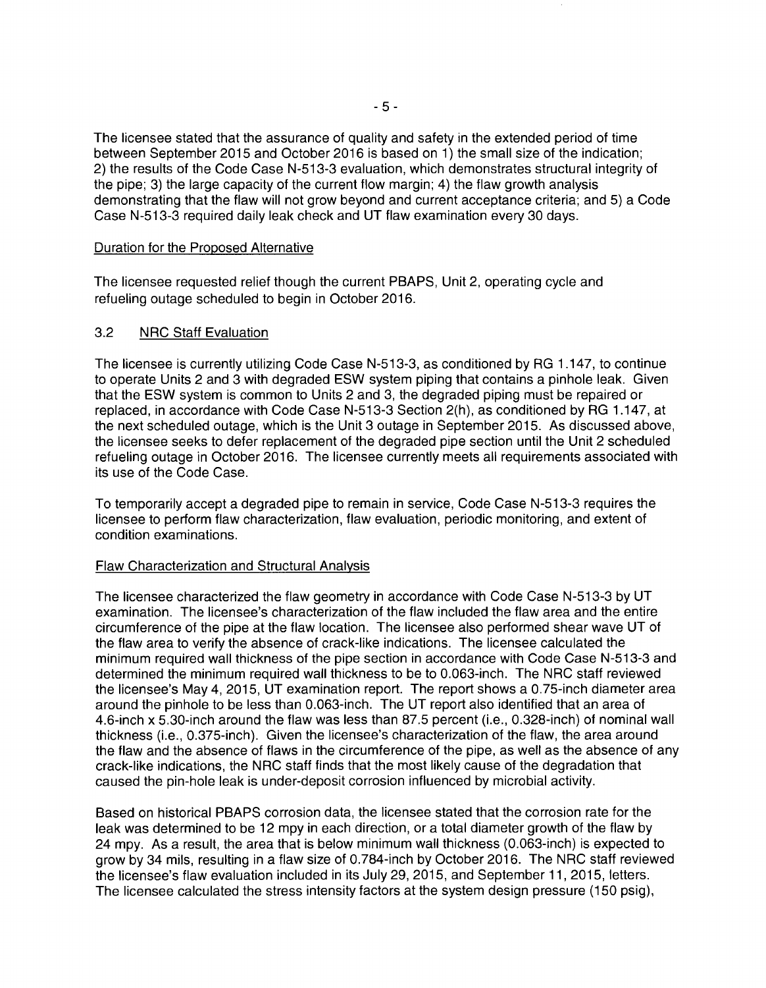The licensee stated that the assurance of quality and safety in the extended period of time between September 2015 and October 2016 is based on 1) the small size of the indication; 2) the results of the Code Case N-513-3 evaluation, which demonstrates structural integrity of the pipe; 3) the large capacity of the current flow margin; 4) the flaw growth analysis demonstrating that the flaw will not grow beyond and current acceptance criteria; and 5) a Code Case N-513-3 required daily leak check and UT flaw examination every 30 days.

#### Duration for the Proposed Alternative

The licensee requested relief though the current PBAPS, Unit 2, operating cycle and refueling outage scheduled to begin in October 2016.

### 3.2 NRC Staff Evaluation

The licensee is currently utilizing Code Case N-513-3, as conditioned by RG 1.147, to continue to operate Units 2 and 3 with degraded ESW system piping that contains a pinhole leak. Given that the ESW system is common to Units 2 and 3, the degraded piping must be repaired or replaced, in accordance with Code Case N-513-3 Section 2(h), as conditioned by RG 1.147, at the next scheduled outage, which is the Unit 3 outage in September 2015. As discussed above, the licensee seeks to defer replacement of the degraded pipe section until the Unit 2 scheduled refueling outage in October 2016. The licensee currently meets all requirements associated with its use of the Code Case.

To temporarily accept a degraded pipe to remain in service, Code Case N-513-3 requires the licensee to perform flaw characterization, flaw evaluation, periodic monitoring, and extent of condition examinations.

### Flaw Characterization and Structural Analysis

The licensee characterized the flaw geometry in accordance with Code Case N-513-3 by UT examination. The licensee's characterization of the flaw included the flaw area and the entire circumference of the pipe at the flaw location. The licensee also performed shear wave UT of the flaw area to verify the absence of crack-like indications. The licensee calculated the minimum required wall thickness of the pipe section in accordance with Code Case N-513-3 and determined the minimum required wall thickness to be to 0.063-inch. The NRC staff reviewed the licensee's May 4, 2015, UT examination report. The report shows a 0.75-inch diameter area around the pinhole to be less than 0.063-inch. The UT report also identified that an area of 4.6-inch x 5.30-inch around the flaw was less than 87.5 percent (i.e., 0.328-inch) of nominal wall thickness (i.e., 0.375-inch). Given the licensee's characterization of the flaw, the area around the flaw and the absence of flaws in the circumference of the pipe, as well as the absence of any crack-like indications, the NRC staff finds that the most likely cause of the degradation that caused the pin-hole leak is under-deposit corrosion influenced by microbial activity.

Based on historical PBAPS corrosion data, the licensee stated that the corrosion rate for the leak was determined to be 12 mpy in each direction, or a total diameter growth of the flaw by 24 mpy. As a result, the area that is below minimum wall thickness (0.063-inch) is expected to grow by 34 mils, resulting in a flaw size of 0.784-inch by October 2016. The NRC staff reviewed the licensee's flaw evaluation included in its July 29, 2015, and September 11, 2015, letters. The licensee calculated the stress intensity factors at the system design pressure (150 psig),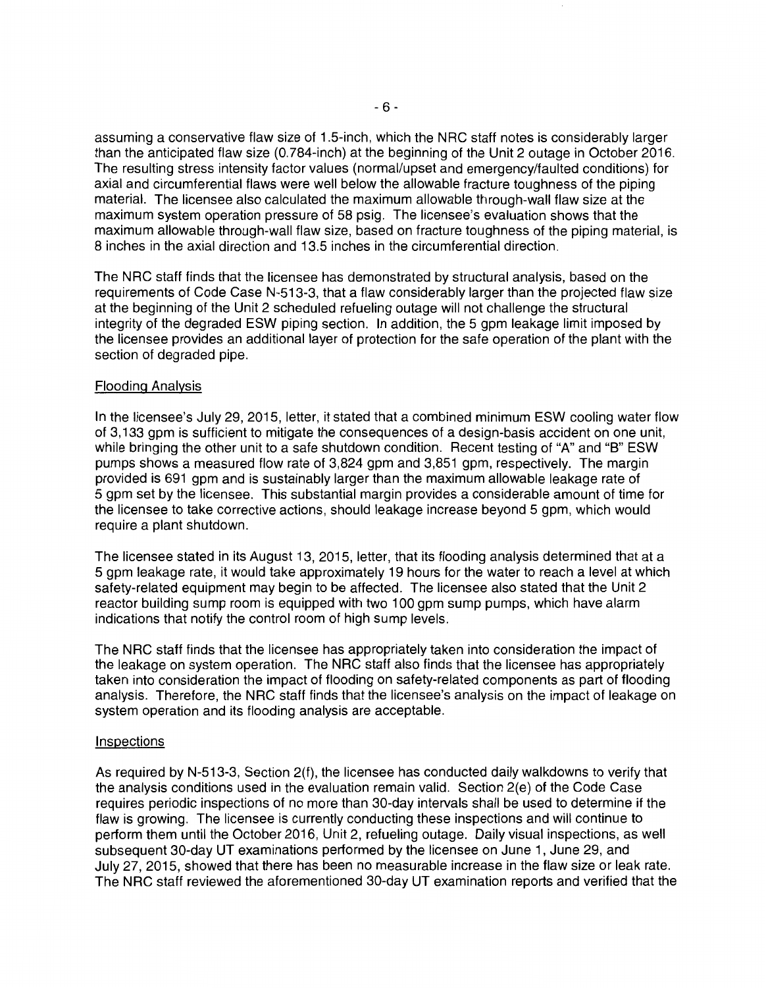assuming a conservative flaw size of 1.5-inch, which the NRC staff notes is considerably larger than the anticipated flaw size (0. 784-inch) at the beginning of the Unit 2 outage in October 2016. The resulting stress intensity factor values (normal/upset and emergency/faulted conditions) for axial and circumferential flaws were well below the allowable fracture toughness of the piping material. The licensee also calculated the maximum allowable through-wall flaw size at the maximum system operation pressure of 58 psig. The licensee's evaluation shows that the maximum allowable through-wall flaw size, based on fracture toughness of the piping material, is 8 inches in the axial direction and 13.5 inches in the circumferential direction.

The NRC staff finds that the licensee has demonstrated by structural analysis, based on the requirements of Code Case N-513-3, that a flaw considerably larger than the projected flaw size at the beginning of the Unit 2 scheduled refueling outage will not challenge the structural integrity of the degraded ESW piping section. In addition, the 5 gpm leakage limit imposed by the licensee provides an additional layer of protection for the safe operation of the plant with the section of degraded pipe.

### Flooding Analysis

In the licensee's July 29, 2015, letter, it stated that a combined minimum ESW cooling water flow of 3, 133 gpm is sufficient to mitigate the consequences of a design-basis accident on one unit, while bringing the other unit to a safe shutdown condition. Recent testing of "A" and "B" ESW pumps shows a measured flow rate of 3,824 gpm and 3,851 gpm, respectively. The margin provided is 691 gpm and is sustainably larger than the maximum allowable leakage rate of 5 gpm set by the licensee. This substantial margin provides a considerable amount of time for the licensee to take corrective actions, should leakage increase beyond 5 gpm, which would require a plant shutdown.

The licensee stated in its August 13, 2015, letter, that its flooding analysis determined that at a 5 gpm leakage rate, it would take approximately 19 hours for the water to reach a level at which safety-related equipment may begin to be affected. The licensee also stated that the Unit 2 reactor building sump room is equipped with two 100 gpm sump pumps, which have alarm indications that notify the control room of high sump levels.

The NRC staff finds that the licensee has appropriately taken into consideration the impact of the leakage on system operation. The NRC staff also finds that the licensee has appropriately taken into consideration the impact of flooding on safety-related components as part of flooding analysis. Therefore, the NRC staff finds that the licensee's analysis on the impact of leakage on system operation and its flooding analysis are acceptable.

#### Inspections

As required by N-513-3, Section 2(f), the licensee has conducted daily walkdowns to verify that the analysis conditions used in the evaluation remain valid. Section 2(e) of the Code Case requires periodic inspections of no more than 30-day intervals shall be used to determine if the flaw is growing. The licensee is currently conducting these inspections and will continue to perform them until the October 2016, Unit 2, refueling outage. Daily visual inspections, as well subsequent 30-day UT examinations performed by the licensee on June 1, June 29, and July 27, 2015, showed that there has been no measurable increase in the flaw size or leak rate. The NRC staff reviewed the aforementioned 30-day UT examination reports and verified that the